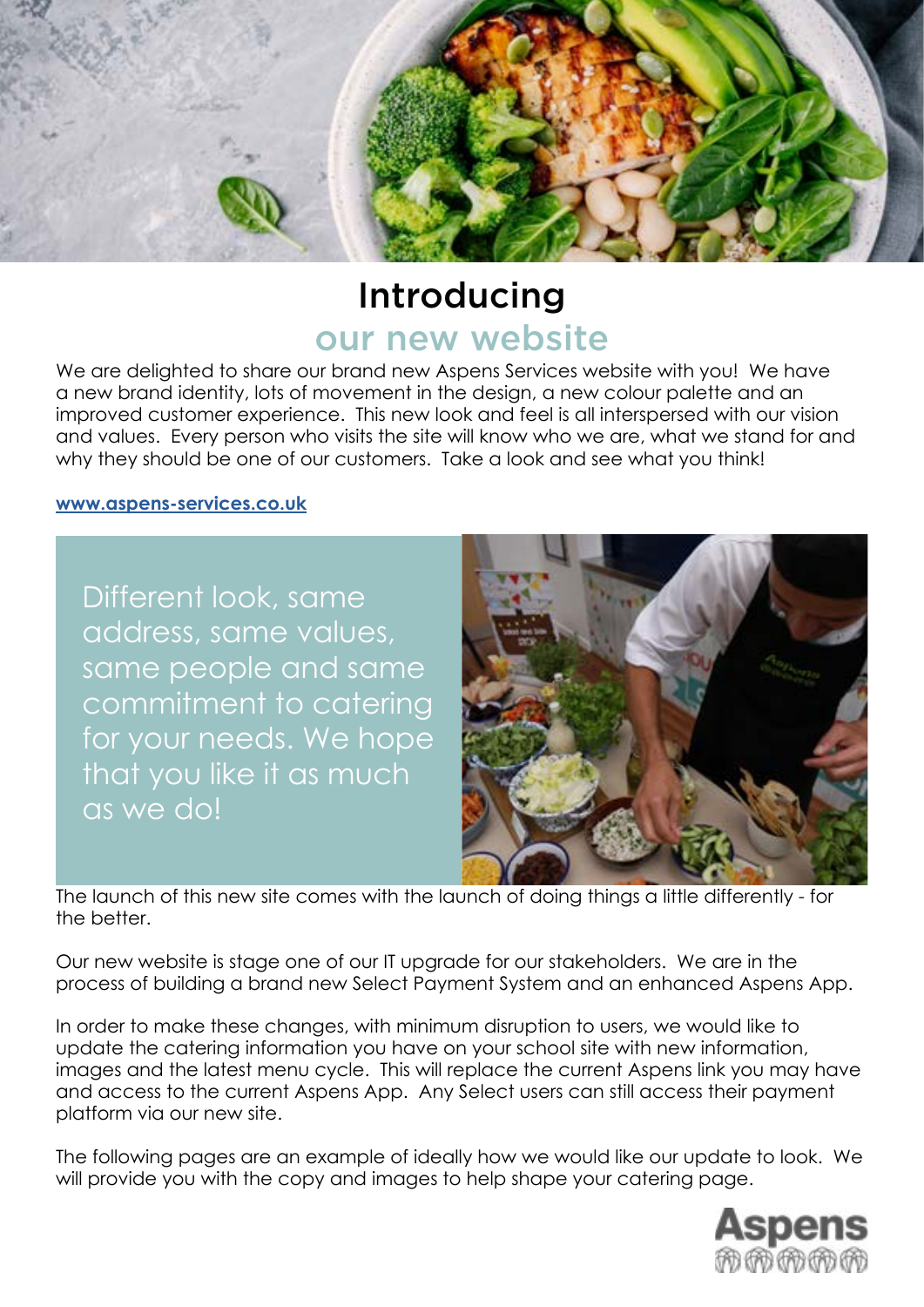

## Introducing our new website

We are delighted to share our brand new Aspens Services website with you! We have a new brand identity, lots of movement in the design, a new colour palette and an improved customer experience. This new look and feel is all interspersed with our vision and values. Every person who visits the site will know who we are, what we stand for and why they should be one of our customers. Take a look and see what you think!

### **[www.aspens-services.co](http://www.aspens-services.com ).uk**

Different look, same address, same values, same people and same commitment to catering for your needs. We hope that you like it as much as we do!



The launch of this new site comes with the launch of doing things a little differently - for the better.

Our new website is stage one of our IT upgrade for our stakeholders. We are in the process of building a brand new Select Payment System and an enhanced Aspens App.

In order to make these changes, with minimum disruption to users, we would like to update the catering information you have on your school site with new information, images and the latest menu cycle. This will replace the current Aspens link you may have and access to the current Aspens App. Any Select users can still access their payment platform via our new site.

The following pages are an example of ideally how we would like our update to look. We will provide you with the copy and images to help shape your catering page.